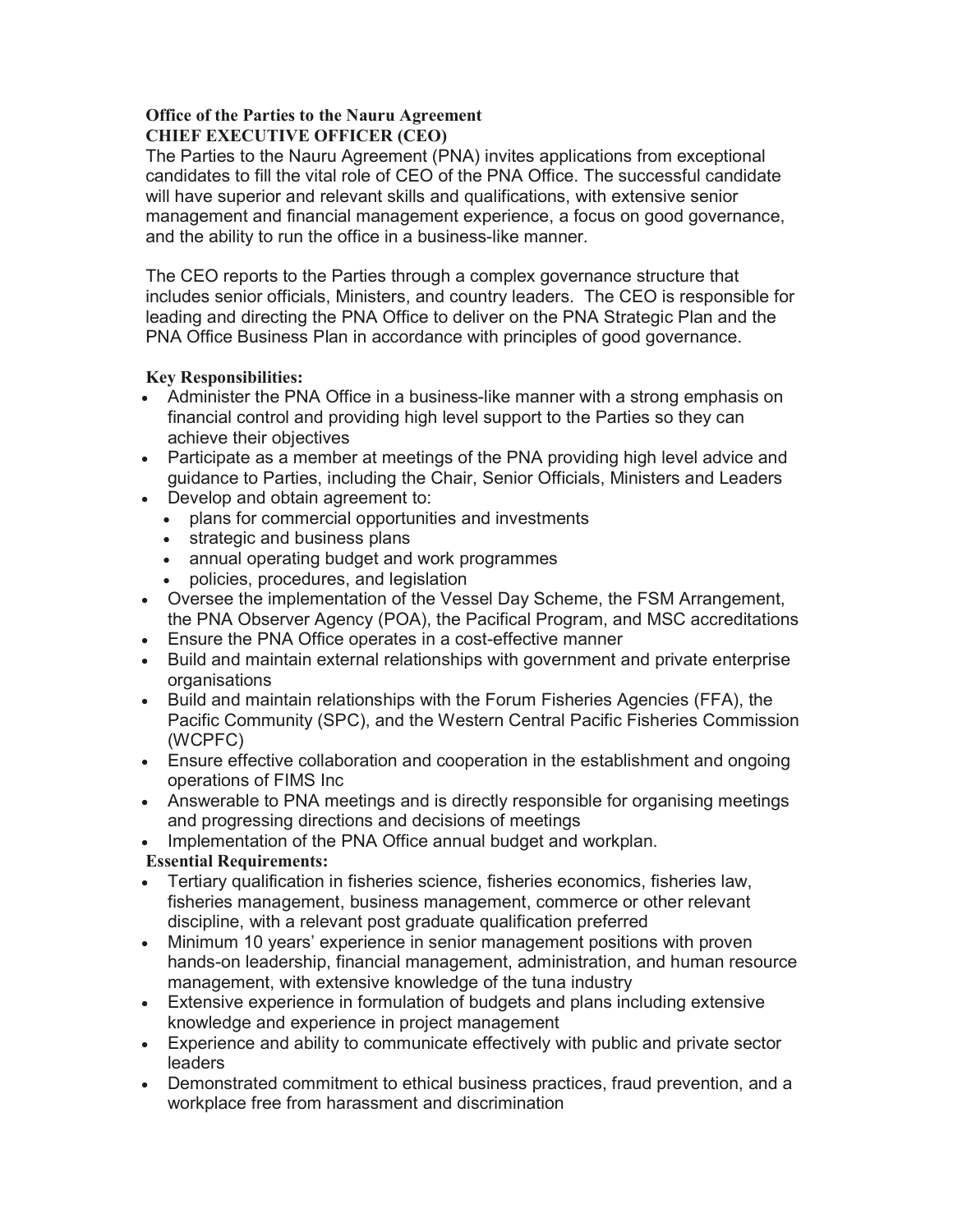## Office of the Parties to the Nauru Agreement CHIEF EXECUTIVE OFFICER (CEO)

The Parties to the Nauru Agreement (PNA) invites applications from exceptional candidates to fill the vital role of CEO of the PNA Office. The successful candidate will have superior and relevant skills and qualifications, with extensive senior management and financial management experience, a focus on good governance, and the ability to run the office in a business-like manner.

The CEO reports to the Parties through a complex governance structure that includes senior officials, Ministers, and country leaders. The CEO is responsible for leading and directing the PNA Office to deliver on the PNA Strategic Plan and the PNA Office Business Plan in accordance with principles of good governance.

## Key Responsibilities:

- Administer the PNA Office in a business-like manner with a strong emphasis on financial control and providing high level support to the Parties so they can achieve their objectives
- Participate as a member at meetings of the PNA providing high level advice and guidance to Parties, including the Chair, Senior Officials, Ministers and Leaders
- Develop and obtain agreement to:
	- plans for commercial opportunities and investments
	- strategic and business plans
	- annual operating budget and work programmes
	- policies, procedures, and legislation
- Oversee the implementation of the Vessel Day Scheme, the FSM Arrangement, the PNA Observer Agency (POA), the Pacifical Program, and MSC accreditations
- Ensure the PNA Office operates in a cost-effective manner
- Build and maintain external relationships with government and private enterprise organisations
- Build and maintain relationships with the Forum Fisheries Agencies (FFA), the Pacific Community (SPC), and the Western Central Pacific Fisheries Commission (WCPFC)
- Ensure effective collaboration and cooperation in the establishment and ongoing operations of FIMS Inc
- Answerable to PNA meetings and is directly responsible for organising meetings and progressing directions and decisions of meetings
- Implementation of the PNA Office annual budget and workplan.

## Essential Requirements:

- Tertiary qualification in fisheries science, fisheries economics, fisheries law, fisheries management, business management, commerce or other relevant discipline, with a relevant post graduate qualification preferred
- Minimum 10 years' experience in senior management positions with proven hands-on leadership, financial management, administration, and human resource management, with extensive knowledge of the tuna industry
- Extensive experience in formulation of budgets and plans including extensive knowledge and experience in project management
- Experience and ability to communicate effectively with public and private sector leaders
- Demonstrated commitment to ethical business practices, fraud prevention, and a workplace free from harassment and discrimination